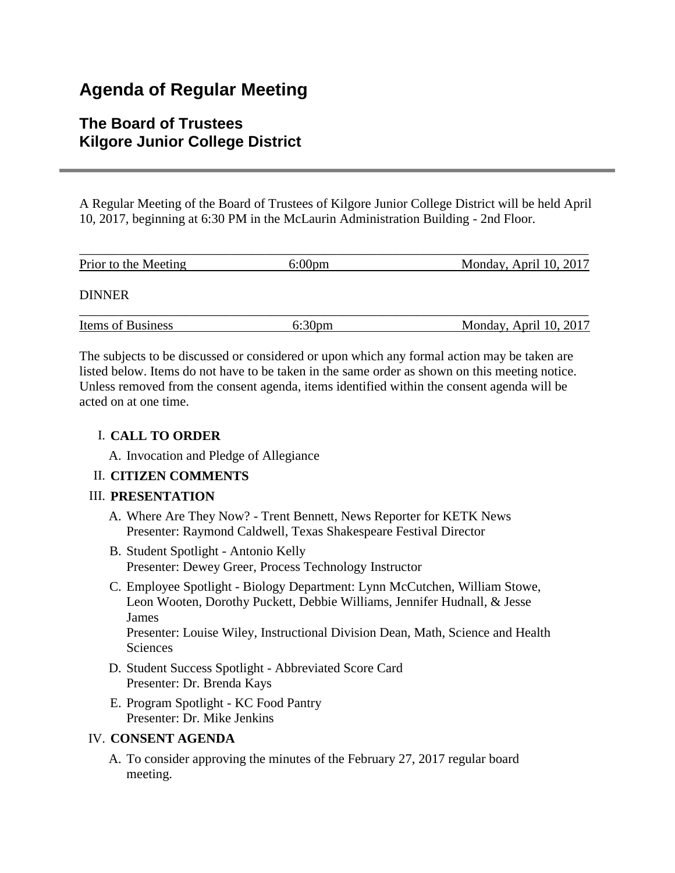# **Agenda of Regular Meeting**

# **The Board of Trustees Kilgore Junior College District**

A Regular Meeting of the Board of Trustees of Kilgore Junior College District will be held April 10, 2017, beginning at 6:30 PM in the McLaurin Administration Building - 2nd Floor.

| Prior to the Meeting | $6:00 \text{pm}$   | Monday, April 10, 2017 |
|----------------------|--------------------|------------------------|
| <b>DINNER</b>        |                    |                        |
| Items of Business    | 6:30 <sub>pm</sub> | Monday, April 10, 2017 |

The subjects to be discussed or considered or upon which any formal action may be taken are listed below. Items do not have to be taken in the same order as shown on this meeting notice. Unless removed from the consent agenda, items identified within the consent agenda will be acted on at one time.

# I. **CALL TO ORDER**

A. Invocation and Pledge of Allegiance

# II. **CITIZEN COMMENTS**

#### III. **PRESENTATION**

- A. Where Are They Now? Trent Bennett, News Reporter for KETK News Presenter: Raymond Caldwell, Texas Shakespeare Festival Director
- B. Student Spotlight Antonio Kelly Presenter: Dewey Greer, Process Technology Instructor
- C. Employee Spotlight Biology Department: Lynn McCutchen, William Stowe, Leon Wooten, Dorothy Puckett, Debbie Williams, Jennifer Hudnall, & Jesse James

Presenter: Louise Wiley, Instructional Division Dean, Math, Science and Health Sciences

- D. Student Success Spotlight Abbreviated Score Card Presenter: Dr. Brenda Kays
- E. Program Spotlight KC Food Pantry Presenter: Dr. Mike Jenkins

#### IV. **CONSENT AGENDA**

A. To consider approving the minutes of the February 27, 2017 regular board meeting.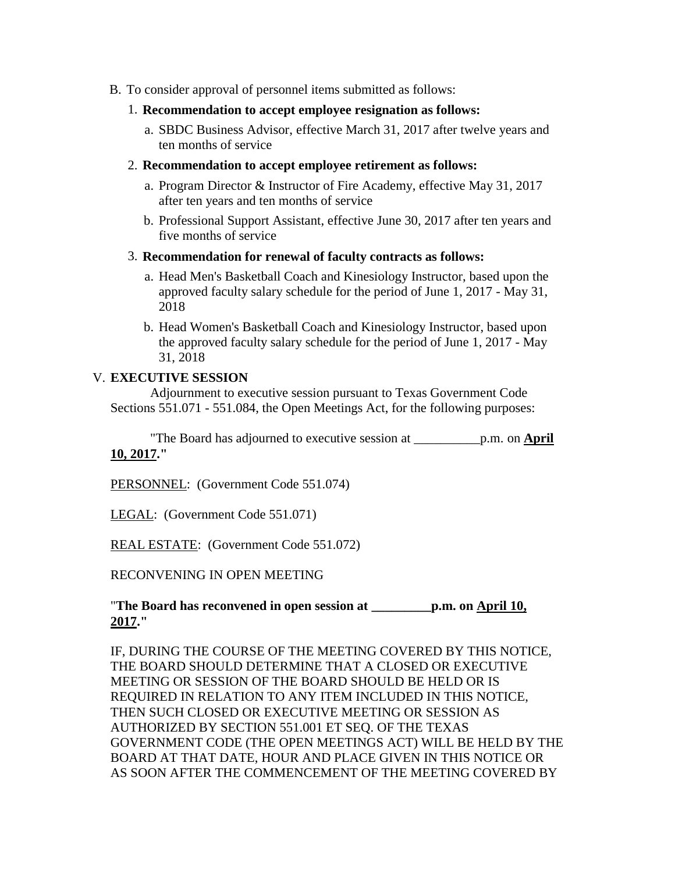- B. To consider approval of personnel items submitted as follows:
	- 1. **Recommendation to accept employee resignation as follows:**
		- a. SBDC Business Advisor, effective March 31, 2017 after twelve years and ten months of service
	- 2. **Recommendation to accept employee retirement as follows:**
		- a. Program Director & Instructor of Fire Academy, effective May 31, 2017 after ten years and ten months of service
		- b. Professional Support Assistant, effective June 30, 2017 after ten years and five months of service
	- 3. **Recommendation for renewal of faculty contracts as follows:**
		- a. Head Men's Basketball Coach and Kinesiology Instructor, based upon the approved faculty salary schedule for the period of June 1, 2017 - May 31, 2018
		- b. Head Women's Basketball Coach and Kinesiology Instructor, based upon the approved faculty salary schedule for the period of June 1, 2017 - May 31, 2018

#### V. **EXECUTIVE SESSION**

 Adjournment to executive session pursuant to Texas Government Code Sections 551.071 - 551.084, the Open Meetings Act, for the following purposes:

 "The Board has adjourned to executive session at \_\_\_\_\_\_\_\_\_\_p.m. on **April 10, 2017."**

PERSONNEL: (Government Code 551.074)

LEGAL: (Government Code 551.071)

REAL ESTATE: (Government Code 551.072)

RECONVENING IN OPEN MEETING

# "**The Board has reconvened in open session at \_\_\_\_\_\_\_\_\_p.m. on April 10, 2017."**

IF, DURING THE COURSE OF THE MEETING COVERED BY THIS NOTICE, THE BOARD SHOULD DETERMINE THAT A CLOSED OR EXECUTIVE MEETING OR SESSION OF THE BOARD SHOULD BE HELD OR IS REQUIRED IN RELATION TO ANY ITEM INCLUDED IN THIS NOTICE, THEN SUCH CLOSED OR EXECUTIVE MEETING OR SESSION AS AUTHORIZED BY SECTION 551.001 ET SEQ. OF THE TEXAS GOVERNMENT CODE (THE OPEN MEETINGS ACT) WILL BE HELD BY THE BOARD AT THAT DATE, HOUR AND PLACE GIVEN IN THIS NOTICE OR AS SOON AFTER THE COMMENCEMENT OF THE MEETING COVERED BY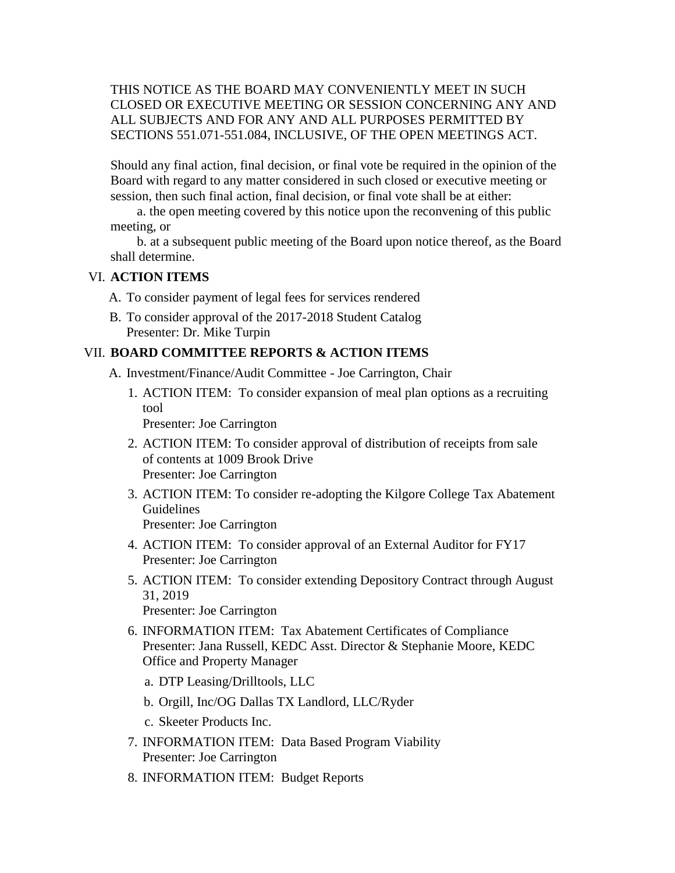# THIS NOTICE AS THE BOARD MAY CONVENIENTLY MEET IN SUCH CLOSED OR EXECUTIVE MEETING OR SESSION CONCERNING ANY AND ALL SUBJECTS AND FOR ANY AND ALL PURPOSES PERMITTED BY SECTIONS 551.071-551.084, INCLUSIVE, OF THE OPEN MEETINGS ACT.

Should any final action, final decision, or final vote be required in the opinion of the Board with regard to any matter considered in such closed or executive meeting or session, then such final action, final decision, or final vote shall be at either:

 a. the open meeting covered by this notice upon the reconvening of this public meeting, or

 b. at a subsequent public meeting of the Board upon notice thereof, as the Board shall determine.

#### VI. **ACTION ITEMS**

- A. To consider payment of legal fees for services rendered
- B. To consider approval of the 2017-2018 Student Catalog Presenter: Dr. Mike Turpin

#### VII. **BOARD COMMITTEE REPORTS & ACTION ITEMS**

- A. Investment/Finance/Audit Committee Joe Carrington, Chair
	- 1. ACTION ITEM: To consider expansion of meal plan options as a recruiting tool

Presenter: Joe Carrington

- 2. ACTION ITEM: To consider approval of distribution of receipts from sale of contents at 1009 Brook Drive Presenter: Joe Carrington
- 3. ACTION ITEM: To consider re-adopting the Kilgore College Tax Abatement **Guidelines** Presenter: Joe Carrington
- 4. ACTION ITEM: To consider approval of an External Auditor for FY17 Presenter: Joe Carrington
- 5. ACTION ITEM: To consider extending Depository Contract through August 31, 2019 Presenter: Joe Carrington
- 6. INFORMATION ITEM: Tax Abatement Certificates of Compliance Presenter: Jana Russell, KEDC Asst. Director & Stephanie Moore, KEDC Office and Property Manager
	- a. DTP Leasing/Drilltools, LLC
	- b. Orgill, Inc/OG Dallas TX Landlord, LLC/Ryder
	- c. Skeeter Products Inc.
- 7. INFORMATION ITEM: Data Based Program Viability Presenter: Joe Carrington
- 8. INFORMATION ITEM: Budget Reports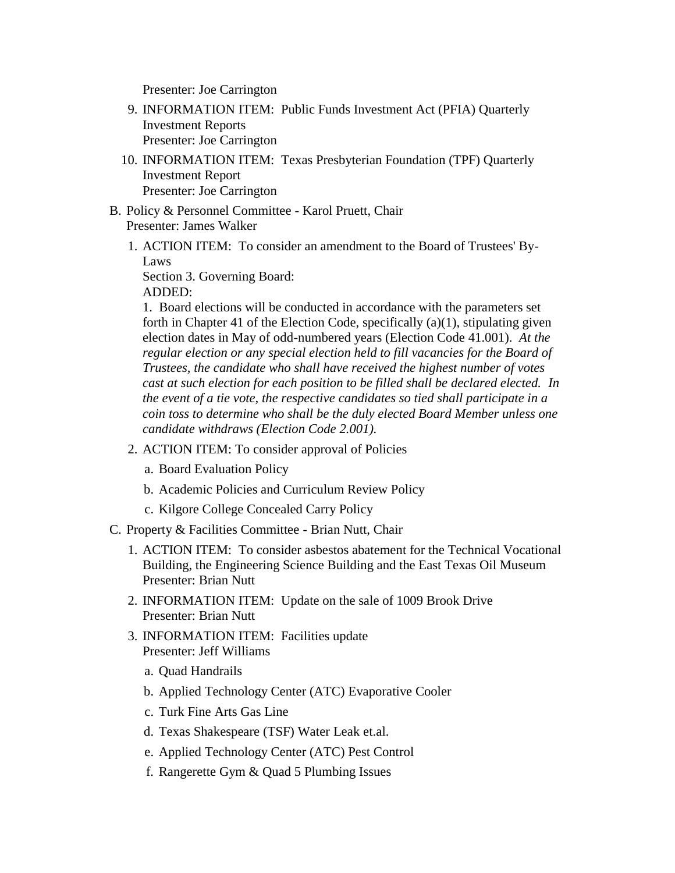Presenter: Joe Carrington

- 9. INFORMATION ITEM: Public Funds Investment Act (PFIA) Quarterly Investment Reports Presenter: Joe Carrington
- 10. INFORMATION ITEM: Texas Presbyterian Foundation (TPF) Quarterly Investment Report Presenter: Joe Carrington
- B. Policy & Personnel Committee Karol Pruett, Chair Presenter: James Walker
	- 1. ACTION ITEM: To consider an amendment to the Board of Trustees' By-Laws

Section 3. Governing Board: ADDED:

1. Board elections will be conducted in accordance with the parameters set forth in Chapter 41 of the Election Code, specifically (a)(1), stipulating given election dates in May of odd-numbered years (Election Code 41.001). *At the regular election or any special election held to fill vacancies for the Board of Trustees, the candidate who shall have received the highest number of votes cast at such election for each position to be filled shall be declared elected. In the event of a tie vote, the respective candidates so tied shall participate in a coin toss to determine who shall be the duly elected Board Member unless one candidate withdraws (Election Code 2.001).*

- 2. ACTION ITEM: To consider approval of Policies
	- a. Board Evaluation Policy
	- b. Academic Policies and Curriculum Review Policy
	- c. Kilgore College Concealed Carry Policy
- C. Property & Facilities Committee Brian Nutt, Chair
	- 1. ACTION ITEM: To consider asbestos abatement for the Technical Vocational Building, the Engineering Science Building and the East Texas Oil Museum Presenter: Brian Nutt
	- 2. INFORMATION ITEM: Update on the sale of 1009 Brook Drive Presenter: Brian Nutt
	- 3. INFORMATION ITEM: Facilities update Presenter: Jeff Williams
		- a. Quad Handrails
		- b. Applied Technology Center (ATC) Evaporative Cooler
		- c. Turk Fine Arts Gas Line
		- d. Texas Shakespeare (TSF) Water Leak et.al.
		- e. Applied Technology Center (ATC) Pest Control
		- f. Rangerette Gym & Quad 5 Plumbing Issues